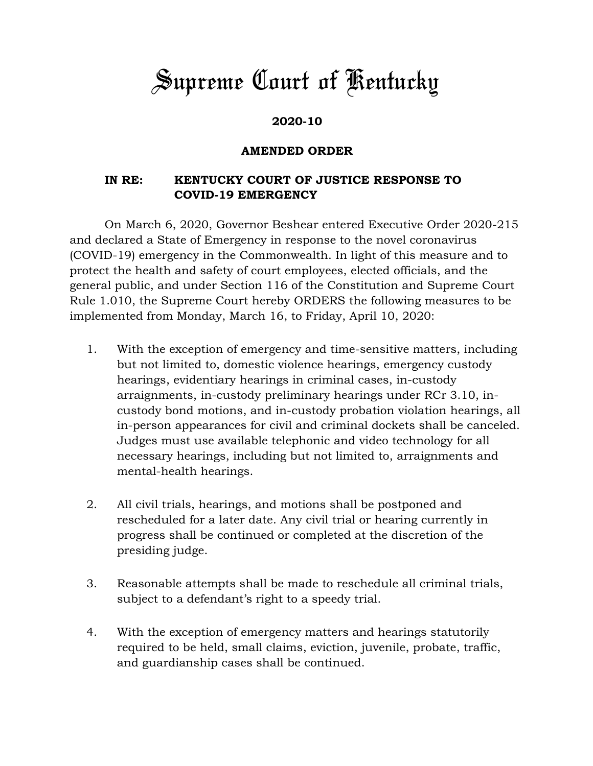## *Supreme Court of Kentucky*

## **2020-10**

## **AMENDED ORDER**

## **IN RE: KENTUCKY COURT OF JUSTICE RESPONSE TO COVID-19 EMERGENCY**

On March 6, 2020, Governor Beshear entered Executive Order 2020-215 and declared a State of Emergency in response to the novel coronavirus (COVID-19) emergency in the Commonwealth. In light of this measure and to protect the health and safety of court employees, elected officials, and the general public, and under Section 116 of the Constitution and Supreme Court Rule 1.010, the Supreme Court hereby ORDERS the following measures to be implemented from Monday, March 16, to Friday, April 10, 2020:

- 1. With the exception of emergency and time-sensitive matters, including but not limited to, domestic violence hearings, emergency custody hearings, evidentiary hearings in criminal cases, in-custody arraignments, in-custody preliminary hearings under RCr 3.10, incustody bond motions, and in-custody probation violation hearings, all in-person appearances for civil and criminal dockets shall be canceled. Judges must use available telephonic and video technology for all necessary hearings, including but not limited to, arraignments and mental-health hearings.
- 2. All civil trials, hearings, and motions shall be postponed and rescheduled for a later date. Any civil trial or hearing currently in progress shall be continued or completed at the discretion of the presiding judge.
- 3. Reasonable attempts shall be made to reschedule all criminal trials, subject to a defendant's right to a speedy trial.
- 4. With the exception of emergency matters and hearings statutorily required to be held, small claims, eviction, juvenile, probate, traffic, and guardianship cases shall be continued.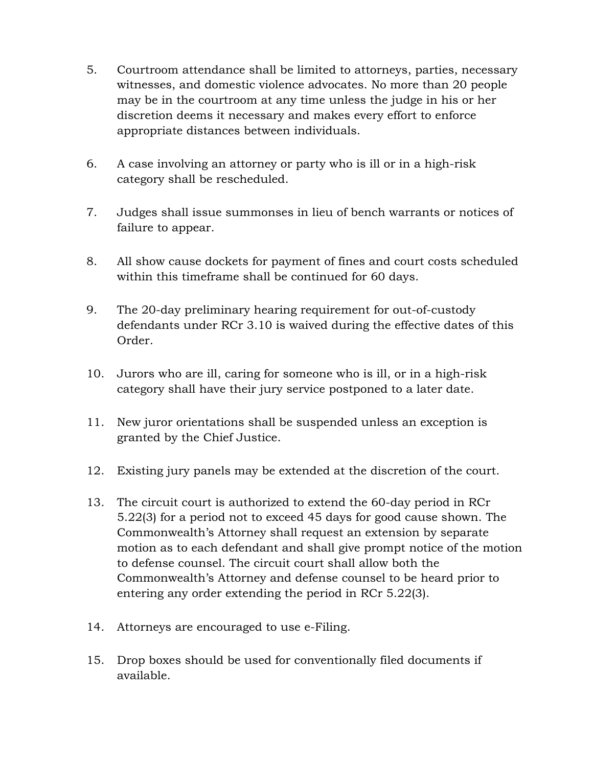- 5. Courtroom attendance shall be limited to attorneys, parties, necessary witnesses, and domestic violence advocates. No more than 20 people may be in the courtroom at any time unless the judge in his or her discretion deems it necessary and makes every effort to enforce appropriate distances between individuals.
- 6. A case involving an attorney or party who is ill or in a high-risk category shall be rescheduled.
- 7. Judges shall issue summonses in lieu of bench warrants or notices of failure to appear.
- 8. All show cause dockets for payment of fines and court costs scheduled within this timeframe shall be continued for 60 days.
- 9. The 20-day preliminary hearing requirement for out-of-custody defendants under RCr 3.10 is waived during the effective dates of this Order.
- 10. Jurors who are ill, caring for someone who is ill, or in a high-risk category shall have their jury service postponed to a later date.
- 11. New juror orientations shall be suspended unless an exception is granted by the Chief Justice.
- 12. Existing jury panels may be extended at the discretion of the court.
- 13. The circuit court is authorized to extend the 60-day period in RCr 5.22(3) for a period not to exceed 45 days for good cause shown. The Commonwealth's Attorney shall request an extension by separate motion as to each defendant and shall give prompt notice of the motion to defense counsel. The circuit court shall allow both the Commonwealth's Attorney and defense counsel to be heard prior to entering any order extending the period in RCr 5.22(3).
- 14. Attorneys are encouraged to use e-Filing.
- 15. Drop boxes should be used for conventionally filed documents if available.